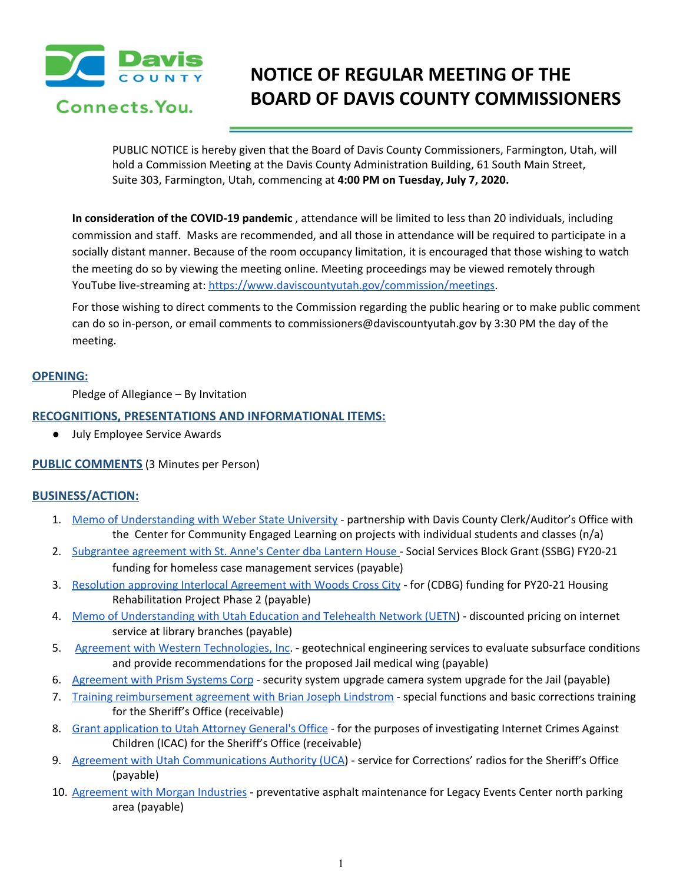

# **NOTICE OF REGULAR MEETING OF THE BOARD OF DAVIS COUNTY COMMISSIONERS**

PUBLIC NOTICE is hereby given that the Board of Davis County Commissioners, Farmington, Utah, will hold a Commission Meeting at the Davis County Administration Building, 61 South Main Street, Suite 303, Farmington, Utah, commencing at **4:00 PM on Tuesday, July 7, 2020.**

**In consideration of the COVID-19 pandemic** , attendance will be limited to less than 20 individuals, including commission and staff. Masks are recommended, and all those in attendance will be required to participate in a socially distant manner. Because of the room occupancy limitation, it is encouraged that those wishing to watch the meeting do so by viewing the meeting online. Meeting proceedings may be viewed remotely through YouTube live-streaming at: [https://www.daviscountyutah.gov/commission/meetings.](https://www.daviscountyutah.gov/commission/meetings)

For those wishing to direct comments to the Commission regarding the public hearing or to make public comment can do so in-person, or email comments to commissioners@daviscountyutah.gov by 3:30 PM the day of the meeting.

# **OPENING:**

Pledge of Allegiance – By Invitation

# **RECOGNITIONS, PRESENTATIONS AND INFORMATIONAL ITEMS:**

● July Employee Service Awards

### **PUBLIC COMMENTS** (3 Minutes per Person)

### **BUSINESS/ACTION:**

- 1. Memo of [Understanding](https://drive.google.com/file/d/1fCpC9HHBiVhjrPLBOspkyp4C7SCnFD7M/view?usp=drivesdk) with Weber State University partnership with Davis County Clerk/Auditor's Office with the Center for Community Engaged Learning on projects with individual students and classes (n/a)
- 2. [Subgrantee](https://drive.google.com/file/d/12rCtlOdBA0Q3hG0wPVH3WtawfF89v8c9/view?usp=drivesdk) agreement with St. Anne's Center dba Lantern House Social Services Block Grant (SSBG) FY20-21 funding for homeless case management services (payable)
- 3. Resolution approving Interlocal [Agreement](https://drive.google.com/file/d/1NVu3J2c8MXj-tm3NKAzGBTzq_eJvKC1I/view?usp=drivesdk) with Woods Cross City for (CDBG) funding for PY20-21 Housing Rehabilitation Project Phase 2 (payable)
- 4. Memo of [Understanding](https://drive.google.com/file/d/1oD96UaoVu42pwS_sNA8-Ih9Ck8tuHPt6/view?usp=drivesdk) with Utah Education and Telehealth Network (UETN) discounted pricing on internet service at library branches (payable)
- 5. Agreement with Western [Technologies,](https://drive.google.com/file/d/1XWrxcoDMpTC06TIAiBAS71RNeg_iDeqG/view?usp=drivesdk) Inc. geotechnical engineering services to evaluate subsurface conditions and provide recommendations for the proposed Jail medical wing (payable)
- 6. [Agreement](https://drive.google.com/file/d/1d2JPsJU4X02ZrijRqIWNQSDUU7CIbuVi/view?usp=drivesdk) with Prism Systems Corp security system upgrade camera system upgrade for the Jail (payable)
- 7. Training [reimbursement](https://drive.google.com/file/d/1R68jW2ABLnHbjQxpExg-kRHvuRPwXg1R/view?usp=drivesdk) agreement with Brian Joseph Lindstrom special functions and basic corrections training for the Sheriff's Office (receivable)
- 8. Grant [application](https://drive.google.com/file/d/1YOrbp_0VyBqN_uAJClvYY7XqDUkWUu7M/view?usp=drivesdk) to Utah Attorney General's Office for the purposes of investigating Internet Crimes Against Children (ICAC) for the Sheriff's Office (receivable)
- 9. Agreement with Utah [Communications](https://drive.google.com/file/d/1XJ9XgRLbe4ntHJ1ysKO4Yxk8rbvP6NrB/view?usp=drivesdk) Authority (UCA) service for Corrections' radios for the Sheriff's Office (payable)
- 10. [Agreement](https://drive.google.com/file/d/1Z1ZbftMKMBX2qizSK0A6VfAOoqpyXt68/view?usp=drivesdk) with Morgan Industries preventative asphalt maintenance for Legacy Events Center north parking area (payable)